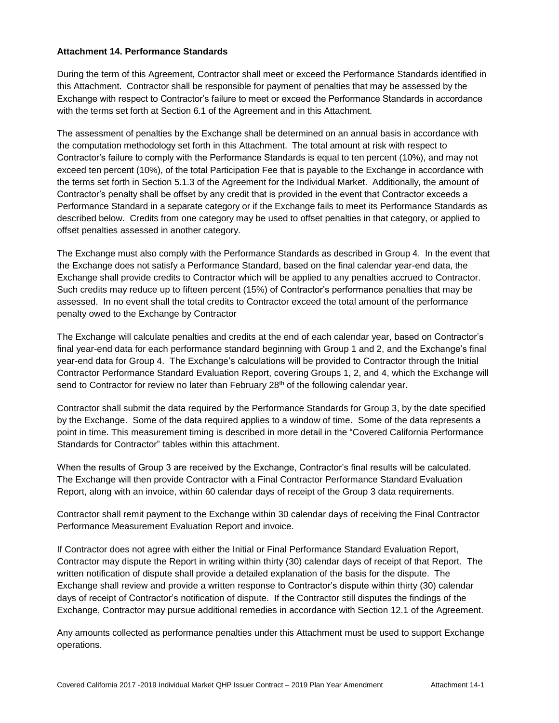### **Attachment 14. Performance Standards**

During the term of this Agreement, Contractor shall meet or exceed the Performance Standards identified in this Attachment. Contractor shall be responsible for payment of penalties that may be assessed by the Exchange with respect to Contractor's failure to meet or exceed the Performance Standards in accordance with the terms set forth at Section 6.1 of the Agreement and in this Attachment.

The assessment of penalties by the Exchange shall be determined on an annual basis in accordance with the computation methodology set forth in this Attachment. The total amount at risk with respect to Contractor's failure to comply with the Performance Standards is equal to ten percent (10%), and may not exceed ten percent (10%), of the total Participation Fee that is payable to the Exchange in accordance with the terms set forth in Section 5.1.3 of the Agreement for the Individual Market. Additionally, the amount of Contractor's penalty shall be offset by any credit that is provided in the event that Contractor exceeds a Performance Standard in a separate category or if the Exchange fails to meet its Performance Standards as described below. Credits from one category may be used to offset penalties in that category, or applied to offset penalties assessed in another category.

The Exchange must also comply with the Performance Standards as described in Group 4. In the event that the Exchange does not satisfy a Performance Standard, based on the final calendar year-end data, the Exchange shall provide credits to Contractor which will be applied to any penalties accrued to Contractor. Such credits may reduce up to fifteen percent (15%) of Contractor's performance penalties that may be assessed. In no event shall the total credits to Contractor exceed the total amount of the performance penalty owed to the Exchange by Contractor

The Exchange will calculate penalties and credits at the end of each calendar year, based on Contractor's final year-end data for each performance standard beginning with Group 1 and 2, and the Exchange's final year-end data for Group 4. The Exchange's calculations will be provided to Contractor through the Initial Contractor Performance Standard Evaluation Report, covering Groups 1, 2, and 4, which the Exchange will send to Contractor for review no later than February  $28<sup>th</sup>$  of the following calendar year.

Contractor shall submit the data required by the Performance Standards for Group 3, by the date specified by the Exchange. Some of the data required applies to a window of time. Some of the data represents a point in time. This measurement timing is described in more detail in the "Covered California Performance Standards for Contractor" tables within this attachment.

When the results of Group 3 are received by the Exchange, Contractor's final results will be calculated. The Exchange will then provide Contractor with a Final Contractor Performance Standard Evaluation Report, along with an invoice, within 60 calendar days of receipt of the Group 3 data requirements.

Contractor shall remit payment to the Exchange within 30 calendar days of receiving the Final Contractor Performance Measurement Evaluation Report and invoice.

If Contractor does not agree with either the Initial or Final Performance Standard Evaluation Report, Contractor may dispute the Report in writing within thirty (30) calendar days of receipt of that Report. The written notification of dispute shall provide a detailed explanation of the basis for the dispute. The Exchange shall review and provide a written response to Contractor's dispute within thirty (30) calendar days of receipt of Contractor's notification of dispute. If the Contractor still disputes the findings of the Exchange, Contractor may pursue additional remedies in accordance with Section 12.1 of the Agreement.

Any amounts collected as performance penalties under this Attachment must be used to support Exchange operations.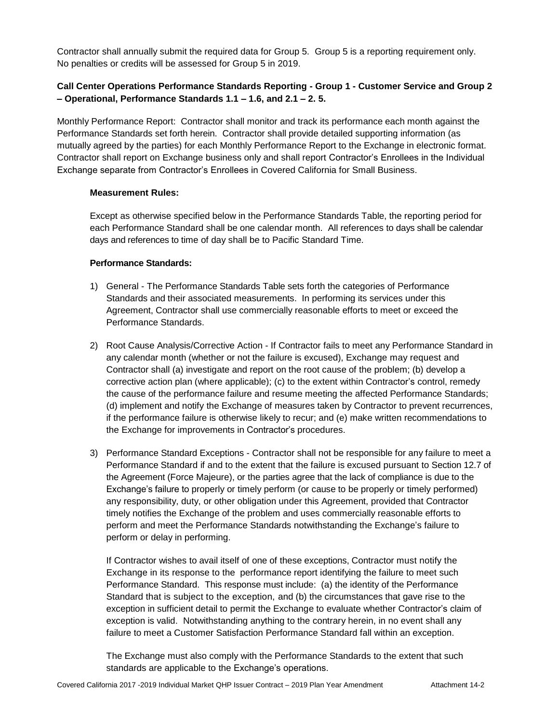Contractor shall annually submit the required data for Group 5. Group 5 is a reporting requirement only. No penalties or credits will be assessed for Group 5 in 2019.

## **Call Center Operations Performance Standards Reporting - Group 1 - Customer Service and Group 2 – Operational, Performance Standards 1.1 – 1.6, and 2.1 – 2. 5.**

Monthly Performance Report: Contractor shall monitor and track its performance each month against the Performance Standards set forth herein. Contractor shall provide detailed supporting information (as mutually agreed by the parties) for each Monthly Performance Report to the Exchange in electronic format. Contractor shall report on Exchange business only and shall report Contractor's Enrollees in the Individual Exchange separate from Contractor's Enrollees in Covered California for Small Business.

### **Measurement Rules:**

Except as otherwise specified below in the Performance Standards Table, the reporting period for each Performance Standard shall be one calendar month. All references to days shall be calendar days and references to time of day shall be to Pacific Standard Time.

### **Performance Standards:**

- 1) General The Performance Standards Table sets forth the categories of Performance Standards and their associated measurements. In performing its services under this Agreement, Contractor shall use commercially reasonable efforts to meet or exceed the Performance Standards.
- 2) Root Cause Analysis/Corrective Action If Contractor fails to meet any Performance Standard in any calendar month (whether or not the failure is excused), Exchange may request and Contractor shall (a) investigate and report on the root cause of the problem; (b) develop a corrective action plan (where applicable); (c) to the extent within Contractor's control, remedy the cause of the performance failure and resume meeting the affected Performance Standards; (d) implement and notify the Exchange of measures taken by Contractor to prevent recurrences, if the performance failure is otherwise likely to recur; and (e) make written recommendations to the Exchange for improvements in Contractor's procedures.
- 3) Performance Standard Exceptions Contractor shall not be responsible for any failure to meet a Performance Standard if and to the extent that the failure is excused pursuant to Section 12.7 of the Agreement (Force Majeure), or the parties agree that the lack of compliance is due to the Exchange's failure to properly or timely perform (or cause to be properly or timely performed) any responsibility, duty, or other obligation under this Agreement, provided that Contractor timely notifies the Exchange of the problem and uses commercially reasonable efforts to perform and meet the Performance Standards notwithstanding the Exchange's failure to perform or delay in performing.

If Contractor wishes to avail itself of one of these exceptions, Contractor must notify the Exchange in its response to the performance report identifying the failure to meet such Performance Standard. This response must include: (a) the identity of the Performance Standard that is subject to the exception, and (b) the circumstances that gave rise to the exception in sufficient detail to permit the Exchange to evaluate whether Contractor's claim of exception is valid. Notwithstanding anything to the contrary herein, in no event shall any failure to meet a Customer Satisfaction Performance Standard fall within an exception.

The Exchange must also comply with the Performance Standards to the extent that such standards are applicable to the Exchange's operations.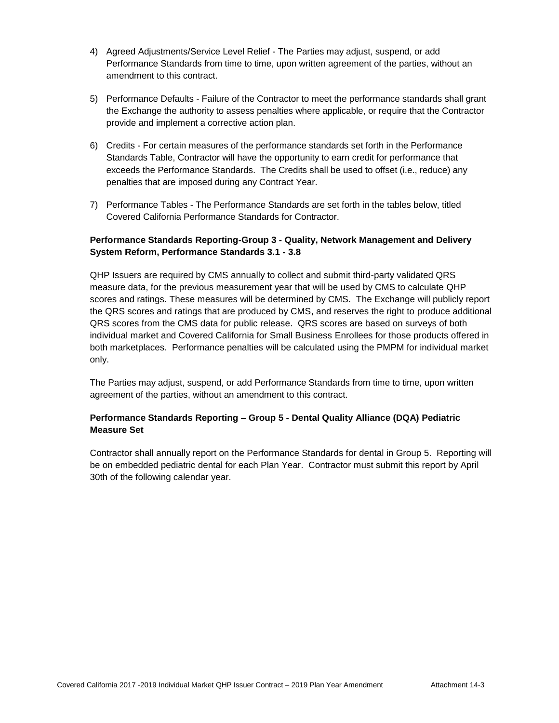- 4) Agreed Adjustments/Service Level Relief The Parties may adjust, suspend, or add Performance Standards from time to time, upon written agreement of the parties, without an amendment to this contract.
- 5) Performance Defaults Failure of the Contractor to meet the performance standards shall grant the Exchange the authority to assess penalties where applicable, or require that the Contractor provide and implement a corrective action plan.
- 6) Credits For certain measures of the performance standards set forth in the Performance Standards Table, Contractor will have the opportunity to earn credit for performance that exceeds the Performance Standards. The Credits shall be used to offset (i.e., reduce) any penalties that are imposed during any Contract Year.
- 7) Performance Tables The Performance Standards are set forth in the tables below, titled Covered California Performance Standards for Contractor.

### **Performance Standards Reporting-Group 3 - Quality, Network Management and Delivery System Reform, Performance Standards 3.1 - 3.8**

QHP Issuers are required by CMS annually to collect and submit third-party validated QRS measure data, for the previous measurement year that will be used by CMS to calculate QHP scores and ratings. These measures will be determined by CMS. The Exchange will publicly report the QRS scores and ratings that are produced by CMS, and reserves the right to produce additional QRS scores from the CMS data for public release. QRS scores are based on surveys of both individual market and Covered California for Small Business Enrollees for those products offered in both marketplaces. Performance penalties will be calculated using the PMPM for individual market only.

The Parties may adjust, suspend, or add Performance Standards from time to time, upon written agreement of the parties, without an amendment to this contract.

## **Performance Standards Reporting – Group 5 - Dental Quality Alliance (DQA) Pediatric Measure Set**

Contractor shall annually report on the Performance Standards for dental in Group 5. Reporting will be on embedded pediatric dental for each Plan Year. Contractor must submit this report by April 30th of the following calendar year.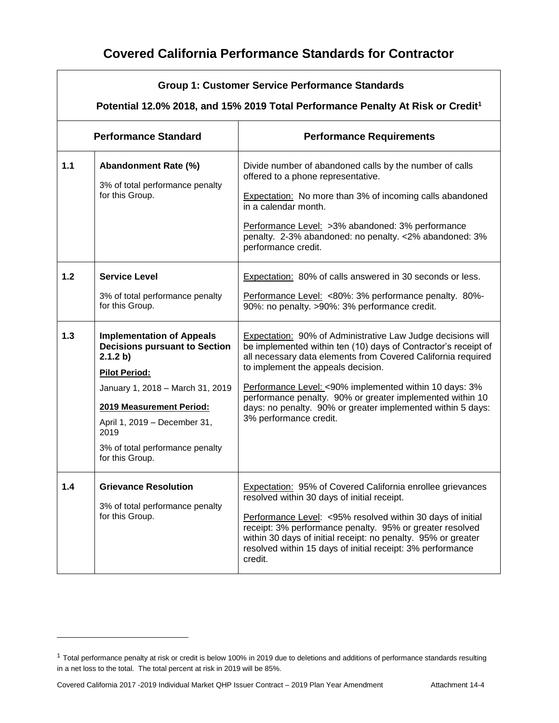| <b>Group 1: Customer Service Performance Standards</b><br>Potential 12.0% 2018, and 15% 2019 Total Performance Penalty At Risk or Credit <sup>1</sup> |                                                                                                                                                                                                                                                                            |                                                                                                                                                                                                                                                                                                                                                                                                                                                             |  |
|-------------------------------------------------------------------------------------------------------------------------------------------------------|----------------------------------------------------------------------------------------------------------------------------------------------------------------------------------------------------------------------------------------------------------------------------|-------------------------------------------------------------------------------------------------------------------------------------------------------------------------------------------------------------------------------------------------------------------------------------------------------------------------------------------------------------------------------------------------------------------------------------------------------------|--|
|                                                                                                                                                       | <b>Performance Standard</b>                                                                                                                                                                                                                                                | <b>Performance Requirements</b>                                                                                                                                                                                                                                                                                                                                                                                                                             |  |
| 1.1                                                                                                                                                   | Abandonment Rate (%)<br>3% of total performance penalty<br>for this Group.                                                                                                                                                                                                 | Divide number of abandoned calls by the number of calls<br>offered to a phone representative.<br><b>Expectation:</b> No more than 3% of incoming calls abandoned<br>in a calendar month.<br>Performance Level: > 3% abandoned: 3% performance<br>penalty. 2-3% abandoned: no penalty. <2% abandoned: 3%<br>performance credit.                                                                                                                              |  |
| 1.2                                                                                                                                                   | <b>Service Level</b><br>3% of total performance penalty<br>for this Group.                                                                                                                                                                                                 | Expectation: 80% of calls answered in 30 seconds or less.<br>Performance Level: <80%: 3% performance penalty. 80%-<br>90%: no penalty. >90%: 3% performance credit.                                                                                                                                                                                                                                                                                         |  |
| 1.3                                                                                                                                                   | <b>Implementation of Appeals</b><br><b>Decisions pursuant to Section</b><br>2.1.2 b)<br><b>Pilot Period:</b><br>January 1, 2018 - March 31, 2019<br>2019 Measurement Period:<br>April 1, 2019 - December 31,<br>2019<br>3% of total performance penalty<br>for this Group. | <b>Expectation: 90% of Administrative Law Judge decisions will</b><br>be implemented within ten (10) days of Contractor's receipt of<br>all necessary data elements from Covered California required<br>to implement the appeals decision.<br>Performance Level: < 90% implemented within 10 days: 3%<br>performance penalty. 90% or greater implemented within 10<br>days: no penalty. 90% or greater implemented within 5 days:<br>3% performance credit. |  |
| 1.4                                                                                                                                                   | <b>Grievance Resolution</b><br>3% of total performance penalty<br>for this Group.                                                                                                                                                                                          | <b>Expectation: 95% of Covered California enrollee grievances</b><br>resolved within 30 days of initial receipt.<br>Performance Level: <95% resolved within 30 days of initial<br>receipt: 3% performance penalty. 95% or greater resolved<br>within 30 days of initial receipt: no penalty. 95% or greater<br>resolved within 15 days of initial receipt: 3% performance<br>credit.                                                                        |  |

<sup>&</sup>lt;sup>1</sup> Total performance penalty at risk or credit is below 100% in 2019 due to deletions and additions of performance standards resulting in a net loss to the total. The total percent at risk in 2019 will be 85%.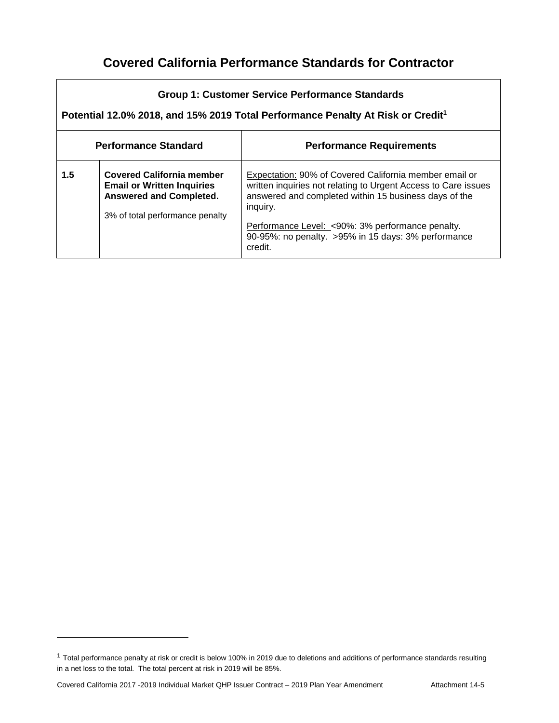| <b>Group 1: Customer Service Performance Standards</b><br>Potential 12.0% 2018, and 15% 2019 Total Performance Penalty At Risk or Credit <sup>1</sup> |                                                                                                                                            |                                                                                                                                                                                                                                                                                                                     |  |
|-------------------------------------------------------------------------------------------------------------------------------------------------------|--------------------------------------------------------------------------------------------------------------------------------------------|---------------------------------------------------------------------------------------------------------------------------------------------------------------------------------------------------------------------------------------------------------------------------------------------------------------------|--|
| <b>Performance Standard</b><br><b>Performance Requirements</b>                                                                                        |                                                                                                                                            |                                                                                                                                                                                                                                                                                                                     |  |
| 1.5                                                                                                                                                   | <b>Covered California member</b><br><b>Email or Written Inquiries</b><br><b>Answered and Completed.</b><br>3% of total performance penalty | Expectation: 90% of Covered California member email or<br>written inquiries not relating to Urgent Access to Care issues<br>answered and completed within 15 business days of the<br>inquiry.<br>Performance Level: <90%: 3% performance penalty.<br>90-95%: no penalty. >95% in 15 days: 3% performance<br>credit. |  |

### <sup>1</sup> Total performance penalty at risk or credit is below 100% in 2019 due to deletions and additions of performance standards resulting in a net loss to the total. The total percent at risk in 2019 will be 85%.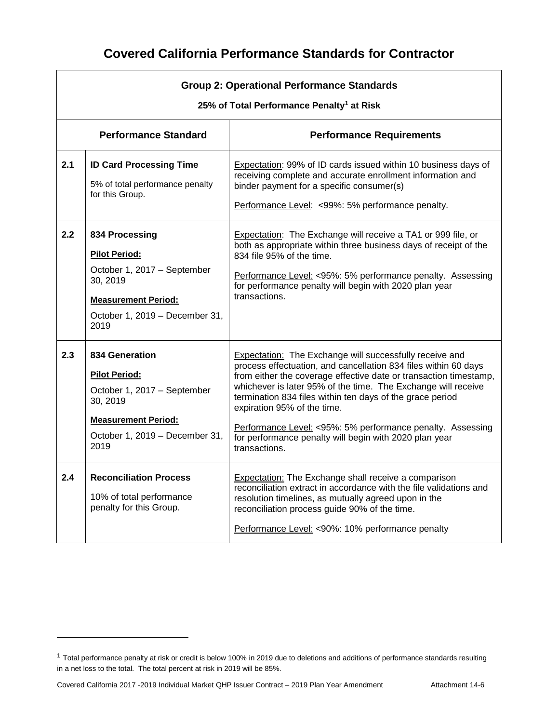| <b>Group 2: Operational Performance Standards</b><br>25% of Total Performance Penalty <sup>1</sup> at Risk |                                                                                                                                                           |                                                                                                                                                                                                                                                                                                                                                                                                                                                                                                              |  |
|------------------------------------------------------------------------------------------------------------|-----------------------------------------------------------------------------------------------------------------------------------------------------------|--------------------------------------------------------------------------------------------------------------------------------------------------------------------------------------------------------------------------------------------------------------------------------------------------------------------------------------------------------------------------------------------------------------------------------------------------------------------------------------------------------------|--|
|                                                                                                            | <b>Performance Standard</b>                                                                                                                               | <b>Performance Requirements</b>                                                                                                                                                                                                                                                                                                                                                                                                                                                                              |  |
| 2.1                                                                                                        | <b>ID Card Processing Time</b><br>5% of total performance penalty<br>for this Group.                                                                      | Expectation: 99% of ID cards issued within 10 business days of<br>receiving complete and accurate enrollment information and<br>binder payment for a specific consumer(s)<br>Performance Level: <99%: 5% performance penalty.                                                                                                                                                                                                                                                                                |  |
| 2.2                                                                                                        | 834 Processing<br><b>Pilot Period:</b><br>October 1, 2017 - September<br>30, 2019<br><b>Measurement Period:</b><br>October 1, 2019 - December 31,<br>2019 | Expectation: The Exchange will receive a TA1 or 999 file, or<br>both as appropriate within three business days of receipt of the<br>834 file 95% of the time.<br>Performance Level: <95%: 5% performance penalty. Assessing<br>for performance penalty will begin with 2020 plan year<br>transactions.                                                                                                                                                                                                       |  |
| 2.3                                                                                                        | 834 Generation<br><b>Pilot Period:</b><br>October 1, 2017 - September<br>30, 2019<br><b>Measurement Period:</b><br>October 1, 2019 - December 31,<br>2019 | <b>Expectation:</b> The Exchange will successfully receive and<br>process effectuation, and cancellation 834 files within 60 days<br>from either the coverage effective date or transaction timestamp,<br>whichever is later 95% of the time. The Exchange will receive<br>termination 834 files within ten days of the grace period<br>expiration 95% of the time.<br>Performance Level: <95%: 5% performance penalty. Assessing<br>for performance penalty will begin with 2020 plan year<br>transactions. |  |
| 2.4                                                                                                        | <b>Reconciliation Process</b><br>10% of total performance<br>penalty for this Group.                                                                      | Expectation: The Exchange shall receive a comparison<br>reconciliation extract in accordance with the file validations and<br>resolution timelines, as mutually agreed upon in the<br>reconciliation process guide 90% of the time.<br>Performance Level: < 90%: 10% performance penalty                                                                                                                                                                                                                     |  |

<sup>&</sup>lt;sup>1</sup> Total performance penalty at risk or credit is below 100% in 2019 due to deletions and additions of performance standards resulting in a net loss to the total. The total percent at risk in 2019 will be 85%.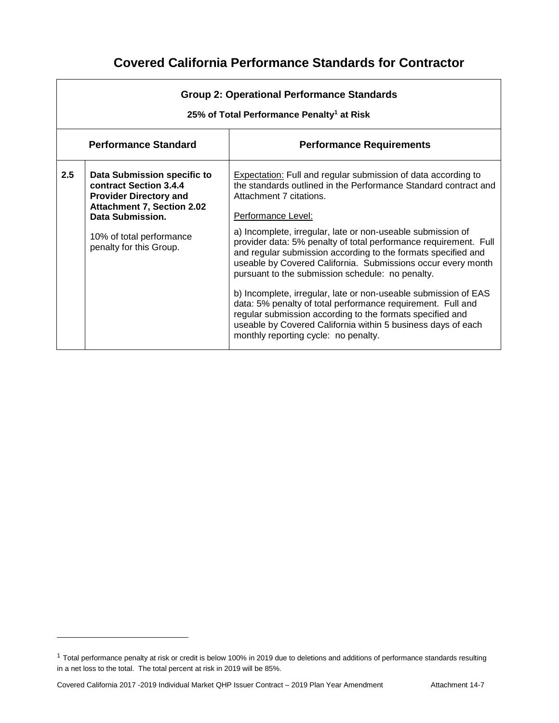| <b>Group 2: Operational Performance Standards</b><br>25% of Total Performance Penalty <sup>1</sup> at Risk |                                                                                                                                                        |                                                                                                                                                                                                                                                                                                                      |  |
|------------------------------------------------------------------------------------------------------------|--------------------------------------------------------------------------------------------------------------------------------------------------------|----------------------------------------------------------------------------------------------------------------------------------------------------------------------------------------------------------------------------------------------------------------------------------------------------------------------|--|
|                                                                                                            | <b>Performance Standard</b><br><b>Performance Requirements</b>                                                                                         |                                                                                                                                                                                                                                                                                                                      |  |
| 2.5                                                                                                        | Data Submission specific to<br>contract Section 3.4.4<br><b>Provider Directory and</b><br><b>Attachment 7, Section 2.02</b><br><b>Data Submission.</b> | <b>Expectation:</b> Full and regular submission of data according to<br>the standards outlined in the Performance Standard contract and<br>Attachment 7 citations.<br>Performance Level:                                                                                                                             |  |
|                                                                                                            | 10% of total performance<br>penalty for this Group.                                                                                                    | a) Incomplete, irregular, late or non-useable submission of<br>provider data: 5% penalty of total performance requirement. Full<br>and regular submission according to the formats specified and<br>useable by Covered California. Submissions occur every month<br>pursuant to the submission schedule: no penalty. |  |
|                                                                                                            |                                                                                                                                                        | b) Incomplete, irregular, late or non-useable submission of EAS<br>data: 5% penalty of total performance requirement. Full and<br>regular submission according to the formats specified and<br>useable by Covered California within 5 business days of each<br>monthly reporting cycle: no penalty.                  |  |

<sup>&</sup>lt;sup>1</sup> Total performance penalty at risk or credit is below 100% in 2019 due to deletions and additions of performance standards resulting in a net loss to the total. The total percent at risk in 2019 will be 85%.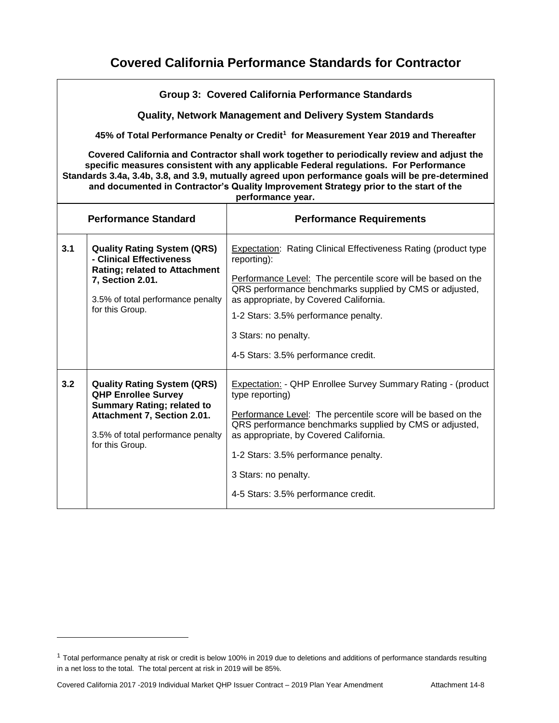|                                                                                     | Group 3: Covered California Performance Standards<br><b>Quality, Network Management and Delivery System Standards</b><br>45% of Total Performance Penalty or Credit <sup>1</sup> for Measurement Year 2019 and Thereafter<br>Covered California and Contractor shall work together to periodically review and adjust the<br>specific measures consistent with any applicable Federal regulations. For Performance<br>Standards 3.4a, 3.4b, 3.8, and 3.9, mutually agreed upon performance goals will be pre-determined<br>and documented in Contractor's Quality Improvement Strategy prior to the start of the |                                                                                                                                                                                                                                                                                                                                                             |  |  |
|-------------------------------------------------------------------------------------|-----------------------------------------------------------------------------------------------------------------------------------------------------------------------------------------------------------------------------------------------------------------------------------------------------------------------------------------------------------------------------------------------------------------------------------------------------------------------------------------------------------------------------------------------------------------------------------------------------------------|-------------------------------------------------------------------------------------------------------------------------------------------------------------------------------------------------------------------------------------------------------------------------------------------------------------------------------------------------------------|--|--|
| performance year.<br><b>Performance Standard</b><br><b>Performance Requirements</b> |                                                                                                                                                                                                                                                                                                                                                                                                                                                                                                                                                                                                                 |                                                                                                                                                                                                                                                                                                                                                             |  |  |
| 3.1                                                                                 | <b>Quality Rating System (QRS)</b><br>- Clinical Effectiveness<br><b>Rating; related to Attachment</b><br>7, Section 2.01.<br>3.5% of total performance penalty<br>for this Group.                                                                                                                                                                                                                                                                                                                                                                                                                              | Expectation: Rating Clinical Effectiveness Rating (product type<br>reporting):<br>Performance Level: The percentile score will be based on the<br>QRS performance benchmarks supplied by CMS or adjusted,<br>as appropriate, by Covered California.<br>1-2 Stars: 3.5% performance penalty.<br>3 Stars: no penalty.<br>4-5 Stars: 3.5% performance credit.  |  |  |
| 3.2                                                                                 | <b>Quality Rating System (QRS)</b><br><b>QHP Enrollee Survey</b><br><b>Summary Rating; related to</b><br>Attachment 7, Section 2.01.<br>3.5% of total performance penalty<br>for this Group.                                                                                                                                                                                                                                                                                                                                                                                                                    | Expectation: - QHP Enrollee Survey Summary Rating - (product<br>type reporting)<br>Performance Level: The percentile score will be based on the<br>QRS performance benchmarks supplied by CMS or adjusted,<br>as appropriate, by Covered California.<br>1-2 Stars: 3.5% performance penalty.<br>3 Stars: no penalty.<br>4-5 Stars: 3.5% performance credit. |  |  |

<sup>&</sup>lt;sup>1</sup> Total performance penalty at risk or credit is below 100% in 2019 due to deletions and additions of performance standards resulting in a net loss to the total. The total percent at risk in 2019 will be 85%.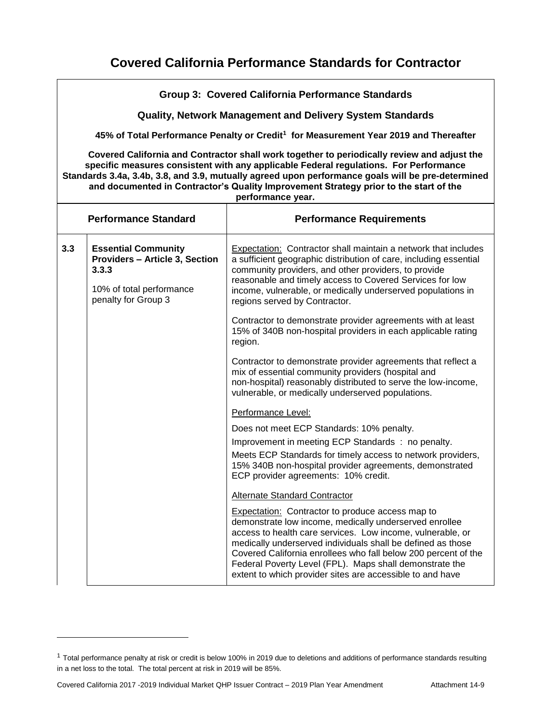|     | Group 3: Covered California Performance Standards                                                                                                                                                                                                                                                                                                                                                       |                                                                                                                                                                                                                                                                                                                                                                                                                                          |  |  |
|-----|---------------------------------------------------------------------------------------------------------------------------------------------------------------------------------------------------------------------------------------------------------------------------------------------------------------------------------------------------------------------------------------------------------|------------------------------------------------------------------------------------------------------------------------------------------------------------------------------------------------------------------------------------------------------------------------------------------------------------------------------------------------------------------------------------------------------------------------------------------|--|--|
|     | <b>Quality, Network Management and Delivery System Standards</b>                                                                                                                                                                                                                                                                                                                                        |                                                                                                                                                                                                                                                                                                                                                                                                                                          |  |  |
|     |                                                                                                                                                                                                                                                                                                                                                                                                         | 45% of Total Performance Penalty or Credit <sup>1</sup> for Measurement Year 2019 and Thereafter                                                                                                                                                                                                                                                                                                                                         |  |  |
|     | Covered California and Contractor shall work together to periodically review and adjust the<br>specific measures consistent with any applicable Federal regulations. For Performance<br>Standards 3.4a, 3.4b, 3.8, and 3.9, mutually agreed upon performance goals will be pre-determined<br>and documented in Contractor's Quality Improvement Strategy prior to the start of the<br>performance year. |                                                                                                                                                                                                                                                                                                                                                                                                                                          |  |  |
|     | <b>Performance Standard</b>                                                                                                                                                                                                                                                                                                                                                                             | <b>Performance Requirements</b>                                                                                                                                                                                                                                                                                                                                                                                                          |  |  |
| 3.3 | <b>Essential Community</b><br><b>Providers - Article 3, Section</b><br>3.3.3<br>10% of total performance<br>penalty for Group 3                                                                                                                                                                                                                                                                         | Expectation: Contractor shall maintain a network that includes<br>a sufficient geographic distribution of care, including essential<br>community providers, and other providers, to provide<br>reasonable and timely access to Covered Services for low<br>income, vulnerable, or medically underserved populations in<br>regions served by Contractor.                                                                                  |  |  |
|     |                                                                                                                                                                                                                                                                                                                                                                                                         | Contractor to demonstrate provider agreements with at least<br>15% of 340B non-hospital providers in each applicable rating<br>region.                                                                                                                                                                                                                                                                                                   |  |  |
|     |                                                                                                                                                                                                                                                                                                                                                                                                         | Contractor to demonstrate provider agreements that reflect a<br>mix of essential community providers (hospital and<br>non-hospital) reasonably distributed to serve the low-income,<br>vulnerable, or medically underserved populations.                                                                                                                                                                                                 |  |  |
|     |                                                                                                                                                                                                                                                                                                                                                                                                         | Performance Level:                                                                                                                                                                                                                                                                                                                                                                                                                       |  |  |
|     |                                                                                                                                                                                                                                                                                                                                                                                                         | Does not meet ECP Standards: 10% penalty.                                                                                                                                                                                                                                                                                                                                                                                                |  |  |
|     |                                                                                                                                                                                                                                                                                                                                                                                                         | Improvement in meeting ECP Standards : no penalty.                                                                                                                                                                                                                                                                                                                                                                                       |  |  |
|     |                                                                                                                                                                                                                                                                                                                                                                                                         | Meets ECP Standards for timely access to network providers,<br>15% 340B non-hospital provider agreements, demonstrated<br>ECP provider agreements: 10% credit.                                                                                                                                                                                                                                                                           |  |  |
|     |                                                                                                                                                                                                                                                                                                                                                                                                         | Alternate Standard Contractor                                                                                                                                                                                                                                                                                                                                                                                                            |  |  |
|     |                                                                                                                                                                                                                                                                                                                                                                                                         | <b>Expectation:</b> Contractor to produce access map to<br>demonstrate low income, medically underserved enrollee<br>access to health care services. Low income, vulnerable, or<br>medically underserved individuals shall be defined as those<br>Covered California enrollees who fall below 200 percent of the<br>Federal Poverty Level (FPL). Maps shall demonstrate the<br>extent to which provider sites are accessible to and have |  |  |

<sup>&</sup>lt;sup>1</sup> Total performance penalty at risk or credit is below 100% in 2019 due to deletions and additions of performance standards resulting in a net loss to the total. The total percent at risk in 2019 will be 85%.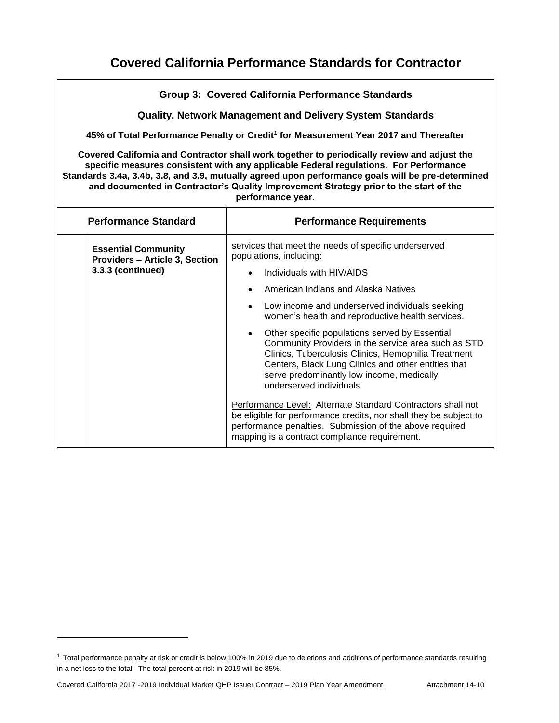| <b>Group 3: Covered California Performance Standards</b>                                                                                                                                                                                                                                                                                                                                                |                                                                                                                                                                                                                                                                                                                                                                                                                                                                                                                                                                                                                                                    |  |  |
|---------------------------------------------------------------------------------------------------------------------------------------------------------------------------------------------------------------------------------------------------------------------------------------------------------------------------------------------------------------------------------------------------------|----------------------------------------------------------------------------------------------------------------------------------------------------------------------------------------------------------------------------------------------------------------------------------------------------------------------------------------------------------------------------------------------------------------------------------------------------------------------------------------------------------------------------------------------------------------------------------------------------------------------------------------------------|--|--|
| <b>Quality, Network Management and Delivery System Standards</b>                                                                                                                                                                                                                                                                                                                                        |                                                                                                                                                                                                                                                                                                                                                                                                                                                                                                                                                                                                                                                    |  |  |
|                                                                                                                                                                                                                                                                                                                                                                                                         | 45% of Total Performance Penalty or Credit <sup>1</sup> for Measurement Year 2017 and Thereafter                                                                                                                                                                                                                                                                                                                                                                                                                                                                                                                                                   |  |  |
| Covered California and Contractor shall work together to periodically review and adjust the<br>specific measures consistent with any applicable Federal regulations. For Performance<br>Standards 3.4a, 3.4b, 3.8, and 3.9, mutually agreed upon performance goals will be pre-determined<br>and documented in Contractor's Quality Improvement Strategy prior to the start of the<br>performance year. |                                                                                                                                                                                                                                                                                                                                                                                                                                                                                                                                                                                                                                                    |  |  |
| <b>Performance Standard</b><br><b>Performance Requirements</b>                                                                                                                                                                                                                                                                                                                                          |                                                                                                                                                                                                                                                                                                                                                                                                                                                                                                                                                                                                                                                    |  |  |
| <b>Essential Community</b><br><b>Providers - Article 3, Section</b><br>3.3.3 (continued)                                                                                                                                                                                                                                                                                                                | services that meet the needs of specific underserved<br>populations, including:<br>Individuals with HIV/AIDS<br>American Indians and Alaska Natives<br>$\bullet$<br>Low income and underserved individuals seeking<br>$\bullet$<br>women's health and reproductive health services.<br>Other specific populations served by Essential<br>Community Providers in the service area such as STD<br>Clinics, Tuberculosis Clinics, Hemophilia Treatment<br>Centers, Black Lung Clinics and other entities that<br>serve predominantly low income, medically<br>underserved individuals.<br>Performance Level: Alternate Standard Contractors shall not |  |  |
|                                                                                                                                                                                                                                                                                                                                                                                                         | be eligible for performance credits, nor shall they be subject to<br>performance penalties. Submission of the above required<br>mapping is a contract compliance requirement.                                                                                                                                                                                                                                                                                                                                                                                                                                                                      |  |  |

<sup>&</sup>lt;sup>1</sup> Total performance penalty at risk or credit is below 100% in 2019 due to deletions and additions of performance standards resulting in a net loss to the total. The total percent at risk in 2019 will be 85%.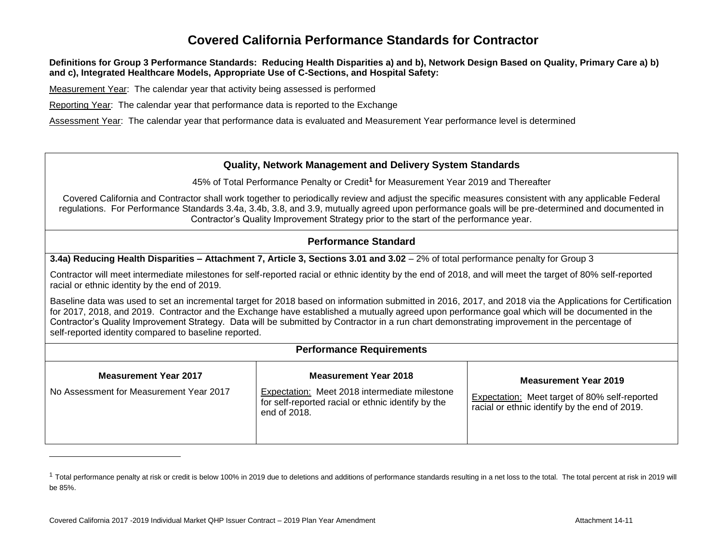### **Definitions for Group 3 Performance Standards: Reducing Health Disparities a) and b), Network Design Based on Quality, Primary Care a) b) and c), Integrated Healthcare Models, Appropriate Use of C-Sections, and Hospital Safety:**

Measurement Year: The calendar year that activity being assessed is performed

Reporting Year: The calendar year that performance data is reported to the Exchange

Assessment Year: The calendar year that performance data is evaluated and Measurement Year performance level is determined

### **Quality, Network Management and Delivery System Standards**

45% of Total Performance Penalty or Credit**<sup>1</sup>** for Measurement Year 2019 and Thereafter

Covered California and Contractor shall work together to periodically review and adjust the specific measures consistent with any applicable Federal regulations. For Performance Standards 3.4a, 3.4b, 3.8, and 3.9, mutually agreed upon performance goals will be pre-determined and documented in Contractor's Quality Improvement Strategy prior to the start of the performance year.

## **Performance Standard**

**3.4a) Reducing Health Disparities – Attachment 7, Article 3, Sections 3.01 and 3.02 – 2% of total performance penalty for Group 3** 

Contractor will meet intermediate milestones for self-reported racial or ethnic identity by the end of 2018, and will meet the target of 80% self-reported racial or ethnic identity by the end of 2019.

Baseline data was used to set an incremental target for 2018 based on information submitted in 2016, 2017, and 2018 via the Applications for Certification for 2017, 2018, and 2019. Contractor and the Exchange have established a mutually agreed upon performance goal which will be documented in the Contractor's Quality Improvement Strategy. Data will be submitted by Contractor in a run chart demonstrating improvement in the percentage of self-reported identity compared to baseline reported.

| <b>Performance Requirements</b>                                         |                                                                                                                                                     |                                                                                                                                       |  |
|-------------------------------------------------------------------------|-----------------------------------------------------------------------------------------------------------------------------------------------------|---------------------------------------------------------------------------------------------------------------------------------------|--|
| <b>Measurement Year 2017</b><br>No Assessment for Measurement Year 2017 | <b>Measurement Year 2018</b><br>Expectation: Meet 2018 intermediate milestone<br>for self-reported racial or ethnic identify by the<br>end of 2018. | <b>Measurement Year 2019</b><br><b>Expectation:</b> Meet target of 80% self-reported<br>racial or ethnic identify by the end of 2019. |  |

<sup>&</sup>lt;sup>1</sup> Total performance penalty at risk or credit is below 100% in 2019 due to deletions and additions of performance standards resulting in a net loss to the total. The total percent at risk in 2019 will be 85%.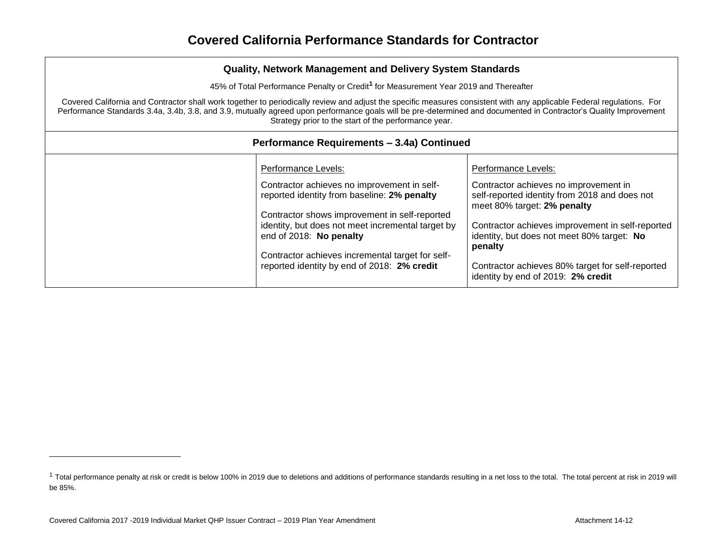45% of Total Performance Penalty or Credit**<sup>1</sup>** for Measurement Year 2019 and Thereafter

Covered California and Contractor shall work together to periodically review and adjust the specific measures consistent with any applicable Federal regulations. For Performance Standards 3.4a, 3.4b, 3.8, and 3.9, mutually agreed upon performance goals will be pre-determined and documented in Contractor's Quality Improvement Strategy prior to the start of the performance year.

| Performance Requirements - 3.4a) Continued |                                                                                                                               |                                                                                                                       |
|--------------------------------------------|-------------------------------------------------------------------------------------------------------------------------------|-----------------------------------------------------------------------------------------------------------------------|
|                                            | Performance Levels:                                                                                                           | Performance Levels:                                                                                                   |
|                                            | Contractor achieves no improvement in self-<br>reported identity from baseline: 2% penalty                                    | Contractor achieves no improvement in<br>self-reported identity from 2018 and does not<br>meet 80% target: 2% penalty |
|                                            | Contractor shows improvement in self-reported<br>identity, but does not meet incremental target by<br>end of 2018: No penalty | Contractor achieves improvement in self-reported<br>identity, but does not meet 80% target: No<br>penalty             |
|                                            | Contractor achieves incremental target for self-<br>reported identity by end of 2018: 2% credit                               | Contractor achieves 80% target for self-reported<br>identity by end of 2019: 2% credit                                |

<sup>&</sup>lt;sup>1</sup> Total performance penalty at risk or credit is below 100% in 2019 due to deletions and additions of performance standards resulting in a net loss to the total. The total percent at risk in 2019 will be 85%.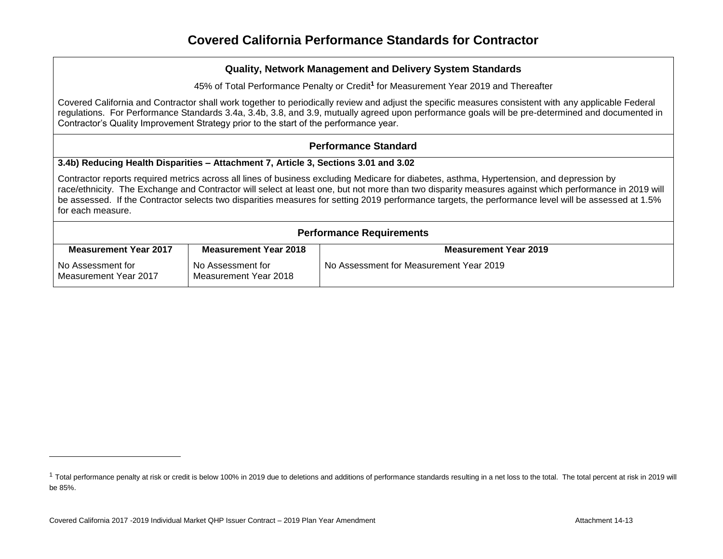45% of Total Performance Penalty or Credit**<sup>1</sup>** for Measurement Year 2019 and Thereafter

Covered California and Contractor shall work together to periodically review and adjust the specific measures consistent with any applicable Federal regulations. For Performance Standards 3.4a, 3.4b, 3.8, and 3.9, mutually agreed upon performance goals will be pre-determined and documented in Contractor's Quality Improvement Strategy prior to the start of the performance year.

## **Performance Standard**

**3.4b) Reducing Health Disparities – Attachment 7, Article 3, Sections 3.01 and 3.02**

Contractor reports required metrics across all lines of business excluding Medicare for diabetes, asthma, Hypertension, and depression by race/ethnicity. The Exchange and Contractor will select at least one, but not more than two disparity measures against which performance in 2019 will be assessed. If the Contractor selects two disparities measures for setting 2019 performance targets, the performance level will be assessed at 1.5% for each measure.

#### **Performance Requirements Measurement Year 2017** No Assessment for Measurement Year 2017 **Measurement Year 2018** No Assessment for Measurement Year 2018 **Measurement Year 2019** No Assessment for Measurement Year 2019

<sup>&</sup>lt;sup>1</sup> Total performance penalty at risk or credit is below 100% in 2019 due to deletions and additions of performance standards resulting in a net loss to the total. The total percent at risk in 2019 will be 85%.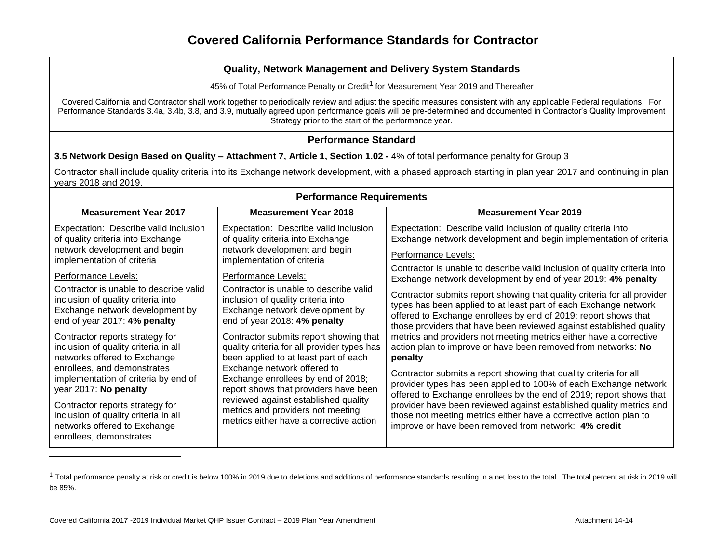45% of Total Performance Penalty or Credit**<sup>1</sup>** for Measurement Year 2019 and Thereafter

Covered California and Contractor shall work together to periodically review and adjust the specific measures consistent with any applicable Federal regulations. For Performance Standards 3.4a, 3.4b, 3.8, and 3.9, mutually agreed upon performance goals will be pre-determined and documented in Contractor's Quality Improvement Strategy prior to the start of the performance year.

### **Performance Standard**

### **3.5 Network Design Based on Quality – Attachment 7, Article 1, Section 1.02 -** 4% of total performance penalty for Group 3

Contractor shall include quality criteria into its Exchange network development, with a phased approach starting in plan year 2017 and continuing in plan years 2018 and 2019.

| <b>Performance Requirements</b>                                                                                                    |                                                                                                                      |                                                                                                                                                                                                  |  |
|------------------------------------------------------------------------------------------------------------------------------------|----------------------------------------------------------------------------------------------------------------------|--------------------------------------------------------------------------------------------------------------------------------------------------------------------------------------------------|--|
| <b>Measurement Year 2017</b>                                                                                                       | <b>Measurement Year 2018</b>                                                                                         | <b>Measurement Year 2019</b>                                                                                                                                                                     |  |
| Expectation: Describe valid inclusion                                                                                              | Expectation: Describe valid inclusion                                                                                | <b>Expectation:</b> Describe valid inclusion of quality criteria into                                                                                                                            |  |
| of quality criteria into Exchange                                                                                                  | of quality criteria into Exchange                                                                                    | Exchange network development and begin implementation of criteria                                                                                                                                |  |
| network development and begin                                                                                                      | network development and begin                                                                                        | Performance Levels:                                                                                                                                                                              |  |
| implementation of criteria                                                                                                         | implementation of criteria                                                                                           | Contractor is unable to describe valid inclusion of quality criteria into                                                                                                                        |  |
| Performance Levels:                                                                                                                | Performance Levels:                                                                                                  | Exchange network development by end of year 2019: 4% penalty                                                                                                                                     |  |
| Contractor is unable to describe valid                                                                                             | Contractor is unable to describe valid                                                                               | Contractor submits report showing that quality criteria for all provider                                                                                                                         |  |
| inclusion of quality criteria into                                                                                                 | inclusion of quality criteria into                                                                                   | types has been applied to at least part of each Exchange network                                                                                                                                 |  |
| Exchange network development by                                                                                                    | Exchange network development by                                                                                      | offered to Exchange enrollees by end of 2019; report shows that                                                                                                                                  |  |
| end of year 2017: 4% penalty                                                                                                       | end of year 2018: 4% penalty                                                                                         | those providers that have been reviewed against established quality                                                                                                                              |  |
| Contractor reports strategy for                                                                                                    | Contractor submits report showing that                                                                               | metrics and providers not meeting metrics either have a corrective                                                                                                                               |  |
| inclusion of quality criteria in all                                                                                               | quality criteria for all provider types has                                                                          | action plan to improve or have been removed from networks: No                                                                                                                                    |  |
| networks offered to Exchange                                                                                                       | been applied to at least part of each                                                                                | penalty                                                                                                                                                                                          |  |
| enrollees, and demonstrates                                                                                                        | Exchange network offered to                                                                                          | Contractor submits a report showing that quality criteria for all                                                                                                                                |  |
| implementation of criteria by end of                                                                                               | Exchange enrollees by end of 2018;                                                                                   | provider types has been applied to 100% of each Exchange network                                                                                                                                 |  |
| year 2017: No penalty                                                                                                              | report shows that providers have been                                                                                | offered to Exchange enrollees by the end of 2019; report shows that                                                                                                                              |  |
| Contractor reports strategy for<br>inclusion of quality criteria in all<br>networks offered to Exchange<br>enrollees, demonstrates | reviewed against established quality<br>metrics and providers not meeting<br>metrics either have a corrective action | provider have been reviewed against established quality metrics and<br>those not meeting metrics either have a corrective action plan to<br>improve or have been removed from network: 4% credit |  |

#### <sup>1</sup> Total performance penalty at risk or credit is below 100% in 2019 due to deletions and additions of performance standards resulting in a net loss to the total. The total percent at risk in 2019 will be 85%.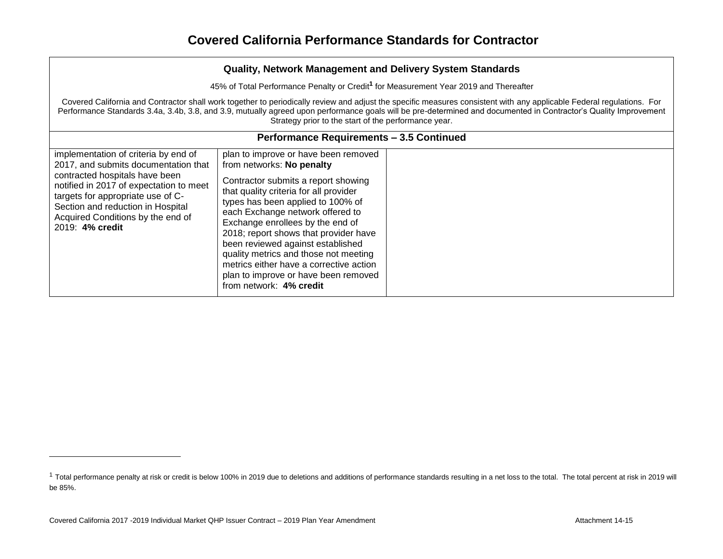| <b>Quality, Network Management and Delivery System Standards</b>                                                                                                                                                                                                                                                                                                                                  |                                                                                                                                                                                                                                                                                                                                                                                                                                                                                                      |  |  |
|---------------------------------------------------------------------------------------------------------------------------------------------------------------------------------------------------------------------------------------------------------------------------------------------------------------------------------------------------------------------------------------------------|------------------------------------------------------------------------------------------------------------------------------------------------------------------------------------------------------------------------------------------------------------------------------------------------------------------------------------------------------------------------------------------------------------------------------------------------------------------------------------------------------|--|--|
|                                                                                                                                                                                                                                                                                                                                                                                                   | 45% of Total Performance Penalty or Credit <sup>1</sup> for Measurement Year 2019 and Thereafter                                                                                                                                                                                                                                                                                                                                                                                                     |  |  |
| Covered California and Contractor shall work together to periodically review and adjust the specific measures consistent with any applicable Federal regulations. For<br>Performance Standards 3.4a, 3.4b, 3.8, and 3.9, mutually agreed upon performance goals will be pre-determined and documented in Contractor's Quality Improvement<br>Strategy prior to the start of the performance year. |                                                                                                                                                                                                                                                                                                                                                                                                                                                                                                      |  |  |
|                                                                                                                                                                                                                                                                                                                                                                                                   | <b>Performance Requirements - 3.5 Continued</b>                                                                                                                                                                                                                                                                                                                                                                                                                                                      |  |  |
| implementation of criteria by end of<br>2017, and submits documentation that<br>contracted hospitals have been<br>notified in 2017 of expectation to meet<br>targets for appropriate use of C-<br>Section and reduction in Hospital<br>Acquired Conditions by the end of<br>2019: 4% credit                                                                                                       | plan to improve or have been removed<br>from networks: No penalty<br>Contractor submits a report showing<br>that quality criteria for all provider<br>types has been applied to 100% of<br>each Exchange network offered to<br>Exchange enrollees by the end of<br>2018; report shows that provider have<br>been reviewed against established<br>quality metrics and those not meeting<br>metrics either have a corrective action<br>plan to improve or have been removed<br>from network: 4% credit |  |  |

<sup>&</sup>lt;sup>1</sup> Total performance penalty at risk or credit is below 100% in 2019 due to deletions and additions of performance standards resulting in a net loss to the total. The total percent at risk in 2019 will be 85%.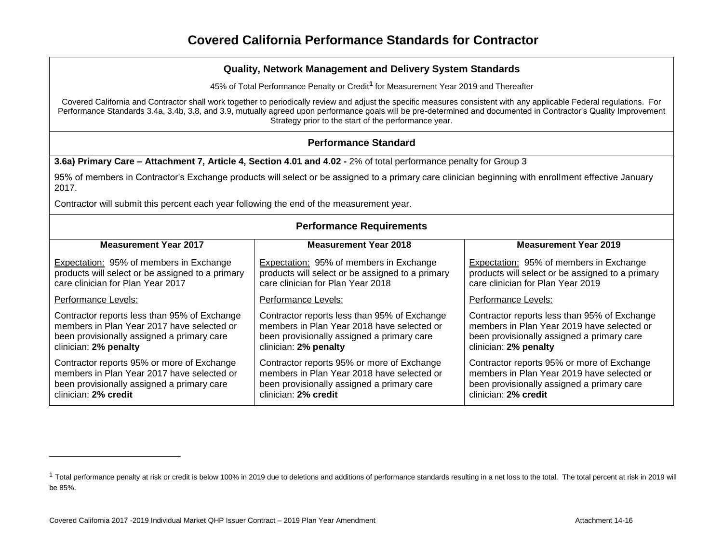45% of Total Performance Penalty or Credit**<sup>1</sup>** for Measurement Year 2019 and Thereafter

Covered California and Contractor shall work together to periodically review and adjust the specific measures consistent with any applicable Federal regulations. For Performance Standards 3.4a, 3.4b, 3.8, and 3.9, mutually agreed upon performance goals will be pre-determined and documented in Contractor's Quality Improvement Strategy prior to the start of the performance year.

## **Performance Standard**

**3.6a) Primary Care – Attachment 7, Article 4, Section 4.01 and 4.02 -** 2% of total performance penalty for Group 3

95% of members in Contractor's Exchange products will select or be assigned to a primary care clinician beginning with enrollment effective January 2017.

Contractor will submit this percent each year following the end of the measurement year.

| <b>Performance Requirements</b>                  |                                                  |                                                  |  |  |
|--------------------------------------------------|--------------------------------------------------|--------------------------------------------------|--|--|
| <b>Measurement Year 2017</b>                     | <b>Measurement Year 2018</b>                     | <b>Measurement Year 2019</b>                     |  |  |
| Expectation: 95% of members in Exchange          | Expectation: 95% of members in Exchange          | Expectation: 95% of members in Exchange          |  |  |
| products will select or be assigned to a primary | products will select or be assigned to a primary | products will select or be assigned to a primary |  |  |
| care clinician for Plan Year 2017                | care clinician for Plan Year 2018                | care clinician for Plan Year 2019                |  |  |
| Performance Levels:                              | Performance Levels:                              | Performance Levels:                              |  |  |
| Contractor reports less than 95% of Exchange     | Contractor reports less than 95% of Exchange     | Contractor reports less than 95% of Exchange     |  |  |
| members in Plan Year 2017 have selected or       | members in Plan Year 2018 have selected or       | members in Plan Year 2019 have selected or       |  |  |
| been provisionally assigned a primary care       | been provisionally assigned a primary care       | been provisionally assigned a primary care       |  |  |
| clinician: 2% penalty                            | clinician: 2% penalty                            | clinician: 2% penalty                            |  |  |
| Contractor reports 95% or more of Exchange       | Contractor reports 95% or more of Exchange       | Contractor reports 95% or more of Exchange       |  |  |
| members in Plan Year 2017 have selected or       | members in Plan Year 2018 have selected or       | members in Plan Year 2019 have selected or       |  |  |
| been provisionally assigned a primary care       | been provisionally assigned a primary care       | been provisionally assigned a primary care       |  |  |
| clinician: 2% credit                             | clinician: 2% credit                             | clinician: 2% credit                             |  |  |

<sup>&</sup>lt;sup>1</sup> Total performance penalty at risk or credit is below 100% in 2019 due to deletions and additions of performance standards resulting in a net loss to the total. The total percent at risk in 2019 will be 85%.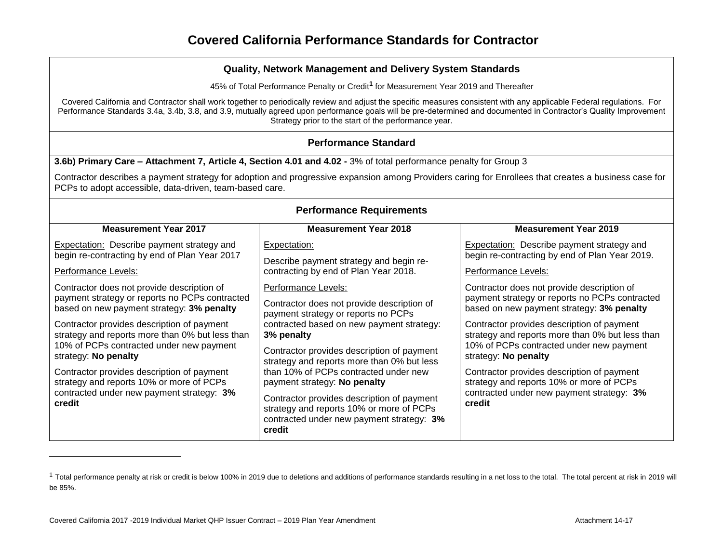45% of Total Performance Penalty or Credit**<sup>1</sup>** for Measurement Year 2019 and Thereafter

Covered California and Contractor shall work together to periodically review and adjust the specific measures consistent with any applicable Federal regulations. For Performance Standards 3.4a, 3.4b, 3.8, and 3.9, mutually agreed upon performance goals will be pre-determined and documented in Contractor's Quality Improvement Strategy prior to the start of the performance year.

# **Performance Standard**

### **3.6b) Primary Care – Attachment 7, Article 4, Section 4.01 and 4.02 -** 3% of total performance penalty for Group 3

Contractor describes a payment strategy for adoption and progressive expansion among Providers caring for Enrollees that creates a business case for PCPs to adopt accessible, data-driven, team-based care.

| <b>Performance Requirements</b>                                                                                                                                                                                                                                                                                                                                                                                                                                 |                                                                                                                                                                                                                                                                                                                                                                                                                                                                                           |                                                                                                                                                                                                                                                                                                                                                                                                                                                                 |  |  |  |
|-----------------------------------------------------------------------------------------------------------------------------------------------------------------------------------------------------------------------------------------------------------------------------------------------------------------------------------------------------------------------------------------------------------------------------------------------------------------|-------------------------------------------------------------------------------------------------------------------------------------------------------------------------------------------------------------------------------------------------------------------------------------------------------------------------------------------------------------------------------------------------------------------------------------------------------------------------------------------|-----------------------------------------------------------------------------------------------------------------------------------------------------------------------------------------------------------------------------------------------------------------------------------------------------------------------------------------------------------------------------------------------------------------------------------------------------------------|--|--|--|
| <b>Measurement Year 2017</b>                                                                                                                                                                                                                                                                                                                                                                                                                                    | <b>Measurement Year 2018</b>                                                                                                                                                                                                                                                                                                                                                                                                                                                              | <b>Measurement Year 2019</b>                                                                                                                                                                                                                                                                                                                                                                                                                                    |  |  |  |
| <b>Expectation:</b> Describe payment strategy and<br>begin re-contracting by end of Plan Year 2017<br>Performance Levels:                                                                                                                                                                                                                                                                                                                                       | Expectation:<br>Describe payment strategy and begin re-<br>contracting by end of Plan Year 2018.                                                                                                                                                                                                                                                                                                                                                                                          | <b>Expectation:</b> Describe payment strategy and<br>begin re-contracting by end of Plan Year 2019.<br>Performance Levels:                                                                                                                                                                                                                                                                                                                                      |  |  |  |
| Contractor does not provide description of<br>payment strategy or reports no PCPs contracted<br>based on new payment strategy: 3% penalty<br>Contractor provides description of payment<br>strategy and reports more than 0% but less than<br>10% of PCPs contracted under new payment<br>strategy: No penalty<br>Contractor provides description of payment<br>strategy and reports 10% or more of PCPs<br>contracted under new payment strategy: 3%<br>credit | Performance Levels:<br>Contractor does not provide description of<br>payment strategy or reports no PCPs<br>contracted based on new payment strategy:<br>3% penalty<br>Contractor provides description of payment<br>strategy and reports more than 0% but less<br>than 10% of PCPs contracted under new<br>payment strategy: No penalty<br>Contractor provides description of payment<br>strategy and reports 10% or more of PCPs<br>contracted under new payment strategy: 3%<br>credit | Contractor does not provide description of<br>payment strategy or reports no PCPs contracted<br>based on new payment strategy: 3% penalty<br>Contractor provides description of payment<br>strategy and reports more than 0% but less than<br>10% of PCPs contracted under new payment<br>strategy: No penalty<br>Contractor provides description of payment<br>strategy and reports 10% or more of PCPs<br>contracted under new payment strategy: 3%<br>credit |  |  |  |

<sup>&</sup>lt;sup>1</sup> Total performance penalty at risk or credit is below 100% in 2019 due to deletions and additions of performance standards resulting in a net loss to the total. The total percent at risk in 2019 will be 85%.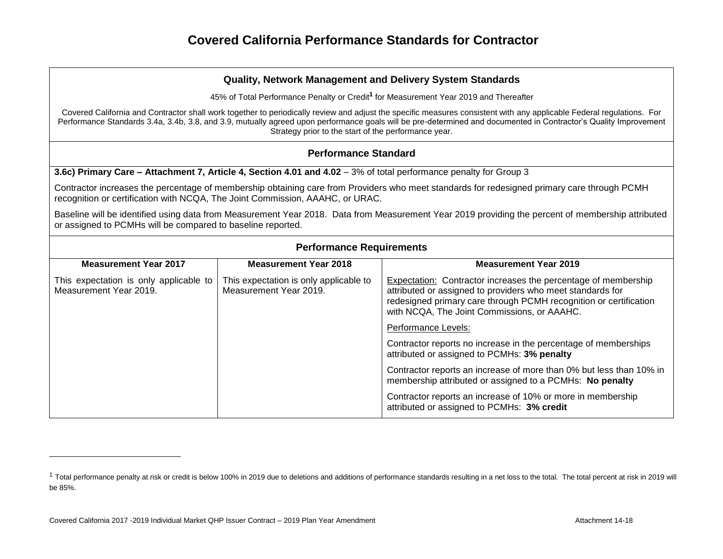### **Quality, Network Management and Delivery System Standards**

45% of Total Performance Penalty or Credit**<sup>1</sup>** for Measurement Year 2019 and Thereafter

Covered California and Contractor shall work together to periodically review and adjust the specific measures consistent with any applicable Federal regulations. For Performance Standards 3.4a, 3.4b, 3.8, and 3.9, mutually agreed upon performance goals will be pre-determined and documented in Contractor's Quality Improvement Strategy prior to the start of the performance year.

### **Performance Standard**

**3.6c) Primary Care – Attachment 7, Article 4, Section 4.01 and 4.02 – 3% of total performance penalty for Group 3** 

Contractor increases the percentage of membership obtaining care from Providers who meet standards for redesigned primary care through PCMH recognition or certification with NCQA, The Joint Commission, AAAHC, or URAC.

Baseline will be identified using data from Measurement Year 2018. Data from Measurement Year 2019 providing the percent of membership attributed or assigned to PCMHs will be compared to baseline reported.

| <b>Performance Requirements</b>                                  |                                                                  |                                                                                                                                                                                                                                                  |  |  |
|------------------------------------------------------------------|------------------------------------------------------------------|--------------------------------------------------------------------------------------------------------------------------------------------------------------------------------------------------------------------------------------------------|--|--|
| <b>Measurement Year 2017</b>                                     | <b>Measurement Year 2018</b>                                     | <b>Measurement Year 2019</b>                                                                                                                                                                                                                     |  |  |
| This expectation is only applicable to<br>Measurement Year 2019. | This expectation is only applicable to<br>Measurement Year 2019. | Expectation: Contractor increases the percentage of membership<br>attributed or assigned to providers who meet standards for<br>redesigned primary care through PCMH recognition or certification<br>with NCQA, The Joint Commissions, or AAAHC. |  |  |
|                                                                  |                                                                  | Performance Levels:                                                                                                                                                                                                                              |  |  |
|                                                                  |                                                                  | Contractor reports no increase in the percentage of memberships<br>attributed or assigned to PCMHs: 3% penalty                                                                                                                                   |  |  |
|                                                                  |                                                                  | Contractor reports an increase of more than 0% but less than 10% in<br>membership attributed or assigned to a PCMHs: No penalty                                                                                                                  |  |  |
|                                                                  |                                                                  | Contractor reports an increase of 10% or more in membership<br>attributed or assigned to PCMHs: 3% credit                                                                                                                                        |  |  |

<sup>&</sup>lt;sup>1</sup> Total performance penalty at risk or credit is below 100% in 2019 due to deletions and additions of performance standards resulting in a net loss to the total. The total percent at risk in 2019 will be 85%.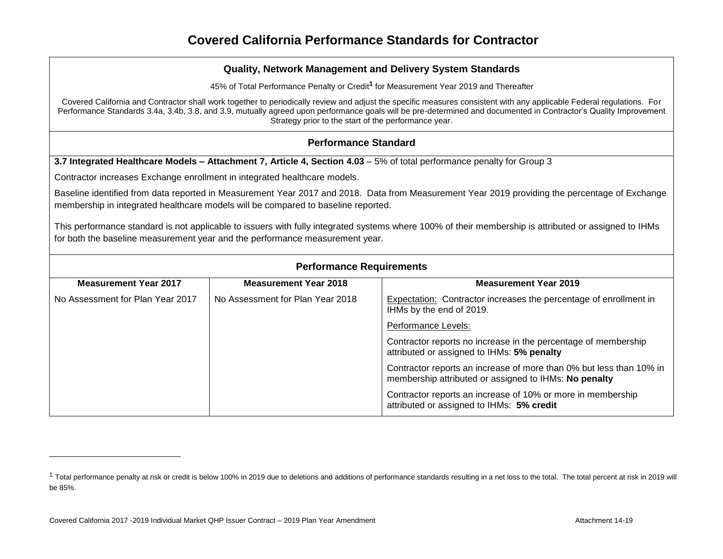45% of Total Performance Penalty or Credit**<sup>1</sup>** for Measurement Year 2019 and Thereafter

Covered California and Contractor shall work together to periodically review and adjust the specific measures consistent with any applicable Federal regulations. For Performance Standards 3.4a, 3.4b, 3.8, and 3.9, mutually agreed upon performance goals will be pre-determined and documented in Contractor's Quality Improvement Strategy prior to the start of the performance year.

## **Performance Standard**

**3.7 Integrated Healthcare Models – Attachment 7, Article 4, Section 4.03** – 5% of total performance penalty for Group 3

Contractor increases Exchange enrollment in integrated healthcare models.

Baseline identified from data reported in Measurement Year 2017 and 2018. Data from Measurement Year 2019 providing the percentage of Exchange membership in integrated healthcare models will be compared to baseline reported.

This performance standard is not applicable to issuers with fully integrated systems where 100% of their membership is attributed or assigned to IHMs for both the baseline measurement year and the performance measurement year.

| <b>Performance Requirements</b>  |                                  |                                                                                                                              |  |  |
|----------------------------------|----------------------------------|------------------------------------------------------------------------------------------------------------------------------|--|--|
| <b>Measurement Year 2017</b>     | <b>Measurement Year 2018</b>     | <b>Measurement Year 2019</b>                                                                                                 |  |  |
| No Assessment for Plan Year 2017 | No Assessment for Plan Year 2018 | Expectation: Contractor increases the percentage of enrollment in<br>IHMs by the end of 2019.                                |  |  |
|                                  |                                  | Performance Levels:                                                                                                          |  |  |
|                                  |                                  | Contractor reports no increase in the percentage of membership<br>attributed or assigned to IHMs: 5% penalty                 |  |  |
|                                  |                                  | Contractor reports an increase of more than 0% but less than 10% in<br>membership attributed or assigned to IHMs: No penalty |  |  |
|                                  |                                  | Contractor reports an increase of 10% or more in membership<br>attributed or assigned to IHMs: 5% credit                     |  |  |

<sup>&</sup>lt;sup>1</sup> Total performance penalty at risk or credit is below 100% in 2019 due to deletions and additions of performance standards resulting in a net loss to the total. The total percent at risk in 2019 will be 85%.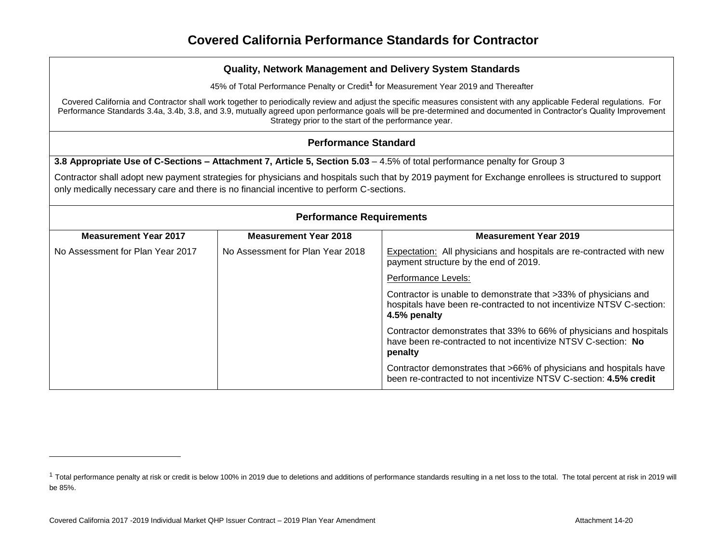45% of Total Performance Penalty or Credit**<sup>1</sup>** for Measurement Year 2019 and Thereafter

Covered California and Contractor shall work together to periodically review and adjust the specific measures consistent with any applicable Federal regulations. For Performance Standards 3.4a, 3.4b, 3.8, and 3.9, mutually agreed upon performance goals will be pre-determined and documented in Contractor's Quality Improvement Strategy prior to the start of the performance year.

## **Performance Standard**

**3.8 Appropriate Use of C-Sections – Attachment 7, Article 5, Section 5.03** – 4.5% of total performance penalty for Group 3

Contractor shall adopt new payment strategies for physicians and hospitals such that by 2019 payment for Exchange enrollees is structured to support only medically necessary care and there is no financial incentive to perform C-sections.

| <b>Performance Requirements</b>  |                                  |                                                                                                                                                         |  |  |
|----------------------------------|----------------------------------|---------------------------------------------------------------------------------------------------------------------------------------------------------|--|--|
| <b>Measurement Year 2017</b>     | <b>Measurement Year 2018</b>     | <b>Measurement Year 2019</b>                                                                                                                            |  |  |
| No Assessment for Plan Year 2017 | No Assessment for Plan Year 2018 | Expectation: All physicians and hospitals are re-contracted with new<br>payment structure by the end of 2019.                                           |  |  |
|                                  | Performance Levels:              |                                                                                                                                                         |  |  |
|                                  |                                  | Contractor is unable to demonstrate that >33% of physicians and<br>hospitals have been re-contracted to not incentivize NTSV C-section:<br>4.5% penalty |  |  |
|                                  |                                  | Contractor demonstrates that 33% to 66% of physicians and hospitals<br>have been re-contracted to not incentivize NTSV C-section: No<br>penalty         |  |  |
|                                  |                                  | Contractor demonstrates that >66% of physicians and hospitals have<br>been re-contracted to not incentivize NTSV C-section: 4.5% credit                 |  |  |

<sup>&</sup>lt;sup>1</sup> Total performance penalty at risk or credit is below 100% in 2019 due to deletions and additions of performance standards resulting in a net loss to the total. The total percent at risk in 2019 will be 85%.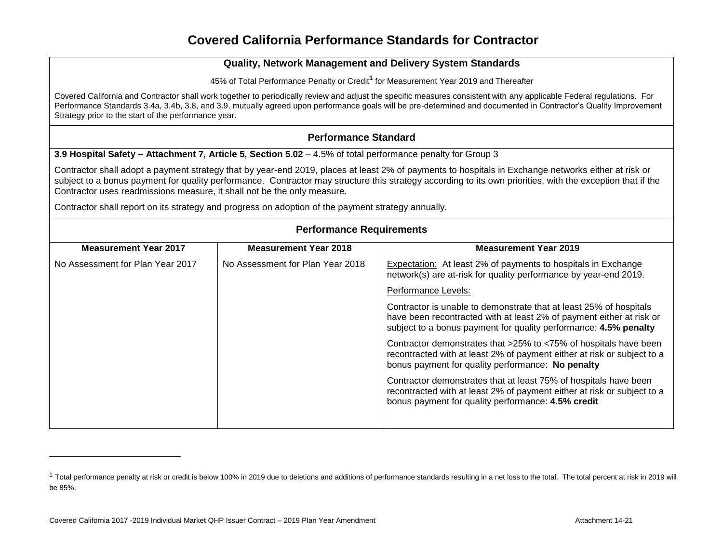### **Quality, Network Management and Delivery System Standards**

45% of Total Performance Penalty or Credit**<sup>1</sup>** for Measurement Year 2019 and Thereafter

Covered California and Contractor shall work together to periodically review and adjust the specific measures consistent with any applicable Federal regulations. For Performance Standards 3.4a, 3.4b, 3.8, and 3.9, mutually agreed upon performance goals will be pre-determined and documented in Contractor's Quality Improvement Strategy prior to the start of the performance year.

### **Performance Standard**

**3.9 Hospital Safety – Attachment 7, Article 5, Section 5.02 – 4.5% of total performance penalty for Group 3** 

Contractor shall adopt a payment strategy that by year-end 2019, places at least 2% of payments to hospitals in Exchange networks either at risk or subject to a bonus payment for quality performance. Contractor may structure this strategy according to its own priorities, with the exception that if the Contractor uses readmissions measure, it shall not be the only measure.

Contractor shall report on its strategy and progress on adoption of the payment strategy annually.

| <b>Performance Requirements</b>  |                                                                                                                                                                                                                |  |  |  |
|----------------------------------|----------------------------------------------------------------------------------------------------------------------------------------------------------------------------------------------------------------|--|--|--|
| <b>Measurement Year 2018</b>     | <b>Measurement Year 2019</b>                                                                                                                                                                                   |  |  |  |
| No Assessment for Plan Year 2018 | <b>Expectation:</b> At least 2% of payments to hospitals in Exchange<br>network(s) are at-risk for quality performance by year-end 2019.                                                                       |  |  |  |
|                                  | Performance Levels:                                                                                                                                                                                            |  |  |  |
|                                  | Contractor is unable to demonstrate that at least 25% of hospitals<br>have been recontracted with at least 2% of payment either at risk or<br>subject to a bonus payment for quality performance: 4.5% penalty |  |  |  |
|                                  | Contractor demonstrates that >25% to <75% of hospitals have been<br>recontracted with at least 2% of payment either at risk or subject to a<br>bonus payment for quality performance: No penalty               |  |  |  |
|                                  | Contractor demonstrates that at least 75% of hospitals have been<br>recontracted with at least 2% of payment either at risk or subject to a<br>bonus payment for quality performance: 4.5% credit              |  |  |  |
|                                  |                                                                                                                                                                                                                |  |  |  |

#### <sup>1</sup> Total performance penalty at risk or credit is below 100% in 2019 due to deletions and additions of performance standards resulting in a net loss to the total. The total percent at risk in 2019 will be 85%.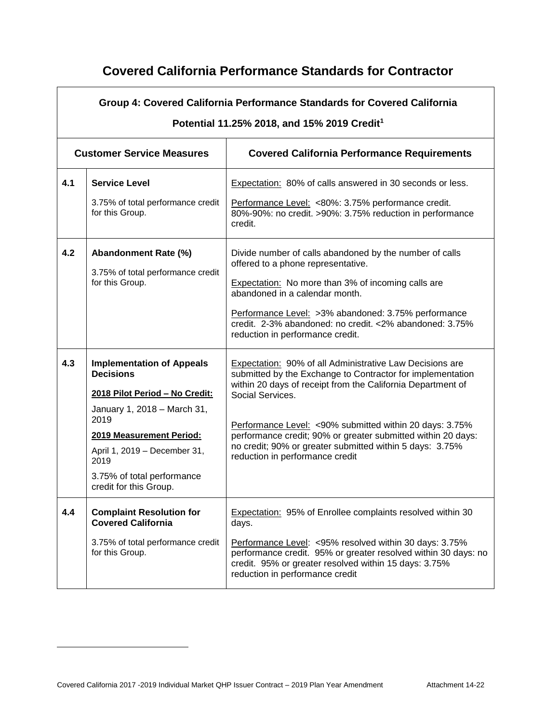| Group 4: Covered California Performance Standards for Covered California<br>Potential 11.25% 2018, and 15% 2019 Credit <sup>1</sup> |                                                                                                                                                                                                                                                           |                                                                                                                                                                                                                                                                                                                                                                                                                                     |  |  |
|-------------------------------------------------------------------------------------------------------------------------------------|-----------------------------------------------------------------------------------------------------------------------------------------------------------------------------------------------------------------------------------------------------------|-------------------------------------------------------------------------------------------------------------------------------------------------------------------------------------------------------------------------------------------------------------------------------------------------------------------------------------------------------------------------------------------------------------------------------------|--|--|
|                                                                                                                                     | <b>Customer Service Measures</b>                                                                                                                                                                                                                          | <b>Covered California Performance Requirements</b>                                                                                                                                                                                                                                                                                                                                                                                  |  |  |
| 4.1                                                                                                                                 | <b>Service Level</b><br>3.75% of total performance credit<br>for this Group.                                                                                                                                                                              | Expectation: 80% of calls answered in 30 seconds or less.<br>Performance Level: <80%: 3.75% performance credit.<br>80%-90%: no credit. >90%: 3.75% reduction in performance<br>credit.                                                                                                                                                                                                                                              |  |  |
| 4.2                                                                                                                                 | Abandonment Rate (%)<br>3.75% of total performance credit<br>for this Group.                                                                                                                                                                              | Divide number of calls abandoned by the number of calls<br>offered to a phone representative.<br><b>Expectation:</b> No more than 3% of incoming calls are<br>abandoned in a calendar month.<br>Performance Level: > 3% abandoned: 3.75% performance<br>credit. 2-3% abandoned: no credit. <2% abandoned: 3.75%<br>reduction in performance credit.                                                                                 |  |  |
| 4.3                                                                                                                                 | <b>Implementation of Appeals</b><br><b>Decisions</b><br>2018 Pilot Period - No Credit:<br>January 1, 2018 - March 31,<br>2019<br>2019 Measurement Period:<br>April 1, 2019 - December 31,<br>2019<br>3.75% of total performance<br>credit for this Group. | Expectation: 90% of all Administrative Law Decisions are<br>submitted by the Exchange to Contractor for implementation<br>within 20 days of receipt from the California Department of<br>Social Services.<br>Performance Level: <90% submitted within 20 days: 3.75%<br>performance credit; 90% or greater submitted within 20 days:<br>no credit; 90% or greater submitted within 5 days: 3.75%<br>reduction in performance credit |  |  |
| 4.4                                                                                                                                 | <b>Complaint Resolution for</b><br><b>Covered California</b><br>3.75% of total performance credit<br>for this Group.                                                                                                                                      | <b>Expectation: 95% of Enrollee complaints resolved within 30</b><br>days.<br>Performance Level: < 95% resolved within 30 days: 3.75%<br>performance credit. 95% or greater resolved within 30 days: no<br>credit. 95% or greater resolved within 15 days: 3.75%<br>reduction in performance credit                                                                                                                                 |  |  |

# **Group 4: Covered California Performance Standards for Covered California**

### Covered California 2017 -2019 Individual Market QHP Issuer Contract – 2019 Plan Year Amendment Attachment 14-22

 $\overline{a}$ 

 $\mathsf{I}$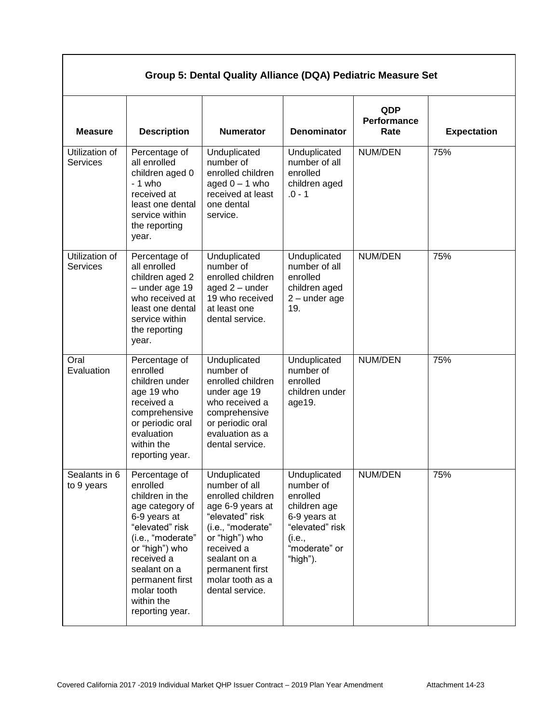| Group 5: Dental Quality Alliance (DQA) Pediatric Measure Set |                                                                                                                                                                                                                                            |                                                                                                                                                                                                                          |                                                                                                                                 |                                   |                    |
|--------------------------------------------------------------|--------------------------------------------------------------------------------------------------------------------------------------------------------------------------------------------------------------------------------------------|--------------------------------------------------------------------------------------------------------------------------------------------------------------------------------------------------------------------------|---------------------------------------------------------------------------------------------------------------------------------|-----------------------------------|--------------------|
| <b>Measure</b>                                               | <b>Description</b>                                                                                                                                                                                                                         | <b>Numerator</b>                                                                                                                                                                                                         | <b>Denominator</b>                                                                                                              | QDP<br><b>Performance</b><br>Rate | <b>Expectation</b> |
| Utilization of<br><b>Services</b>                            | Percentage of<br>all enrolled<br>children aged 0<br>$-1$ who<br>received at<br>least one dental<br>service within<br>the reporting<br>year.                                                                                                | Unduplicated<br>number of<br>enrolled children<br>aged $0 - 1$ who<br>received at least<br>one dental<br>service.                                                                                                        | Unduplicated<br>number of all<br>enrolled<br>children aged<br>$.0 - 1$                                                          | NUM/DEN                           | 75%                |
| Utilization of<br><b>Services</b>                            | Percentage of<br>all enrolled<br>children aged 2<br>$-$ under age 19<br>who received at<br>least one dental<br>service within<br>the reporting<br>year.                                                                                    | Unduplicated<br>number of<br>enrolled children<br>aged $2$ – under<br>19 who received<br>at least one<br>dental service.                                                                                                 | Unduplicated<br>number of all<br>enrolled<br>children aged<br>$2$ – under age<br>19.                                            | NUM/DEN                           | 75%                |
| Oral<br>Evaluation                                           | Percentage of<br>enrolled<br>children under<br>age 19 who<br>received a<br>comprehensive<br>or periodic oral<br>evaluation<br>within the<br>reporting year.                                                                                | Unduplicated<br>number of<br>enrolled children<br>under age 19<br>who received a<br>comprehensive<br>or periodic oral<br>evaluation as a<br>dental service.                                                              | Unduplicated<br>number of<br>enrolled<br>children under<br>age19.                                                               | NUM/DEN                           | 75%                |
| Sealants in 6<br>to 9 years                                  | Percentage of<br>enrolled<br>children in the<br>age category of<br>6-9 years at<br>"elevated" risk<br>(i.e., "moderate"<br>or "high") who<br>received a<br>sealant on a<br>permanent first<br>molar tooth<br>within the<br>reporting year. | Unduplicated<br>number of all<br>enrolled children<br>age 6-9 years at<br>"elevated" risk<br>(i.e., "moderate"<br>or "high") who<br>received a<br>sealant on a<br>permanent first<br>molar tooth as a<br>dental service. | Unduplicated<br>number of<br>enrolled<br>children age<br>6-9 years at<br>"elevated" risk<br>(i.e.,<br>"moderate" or<br>"high"). | NUM/DEN                           | 75%                |

 $\mathbf{I}$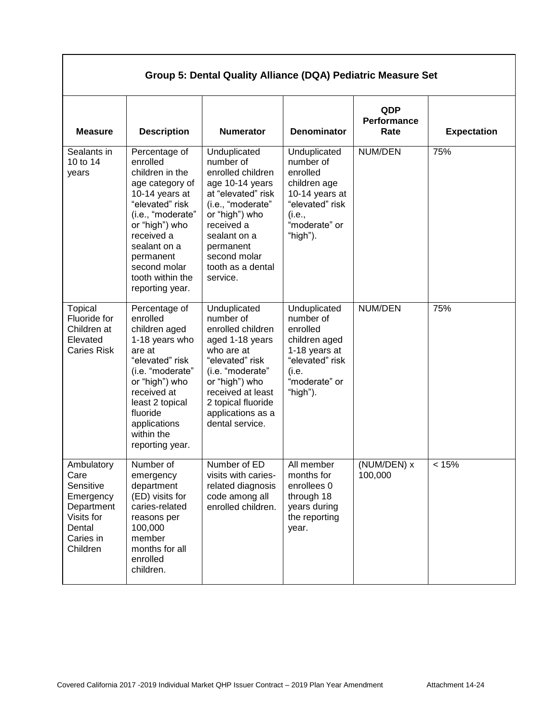| Group 5: Dental Quality Alliance (DQA) Pediatric Measure Set                                                |                                                                                                                                                                                                                                               |                                                                                                                                                                                                                             |                                                                                                                                   |                            |                    |
|-------------------------------------------------------------------------------------------------------------|-----------------------------------------------------------------------------------------------------------------------------------------------------------------------------------------------------------------------------------------------|-----------------------------------------------------------------------------------------------------------------------------------------------------------------------------------------------------------------------------|-----------------------------------------------------------------------------------------------------------------------------------|----------------------------|--------------------|
| <b>Measure</b>                                                                                              | <b>Description</b>                                                                                                                                                                                                                            | <b>Numerator</b>                                                                                                                                                                                                            | <b>Denominator</b>                                                                                                                | QDP<br>Performance<br>Rate | <b>Expectation</b> |
| Sealants in<br>10 to 14<br>years                                                                            | Percentage of<br>enrolled<br>children in the<br>age category of<br>10-14 years at<br>"elevated" risk<br>(i.e., "moderate"<br>or "high") who<br>received a<br>sealant on a<br>permanent<br>second molar<br>tooth within the<br>reporting year. | Unduplicated<br>number of<br>enrolled children<br>age 10-14 years<br>at "elevated" risk<br>(i.e., "moderate"<br>or "high") who<br>received a<br>sealant on a<br>permanent<br>second molar<br>tooth as a dental<br>service.  | Unduplicated<br>number of<br>enrolled<br>children age<br>10-14 years at<br>"elevated" risk<br>(i.e.,<br>"moderate" or<br>"high"). | NUM/DEN                    | 75%                |
| Topical<br>Fluoride for<br>Children at<br>Elevated<br><b>Caries Risk</b>                                    | Percentage of<br>enrolled<br>children aged<br>1-18 years who<br>are at<br>"elevated" risk<br>(i.e. "moderate"<br>or "high") who<br>received at<br>least 2 topical<br>fluoride<br>applications<br>within the<br>reporting year.                | Unduplicated<br>number of<br>enrolled children<br>aged 1-18 years<br>who are at<br>"elevated" risk<br>(i.e. "moderate"<br>or "high") who<br>received at least<br>2 topical fluoride<br>applications as a<br>dental service. | Unduplicated<br>number of<br>enrolled<br>children aged<br>1-18 years at<br>"elevated" risk<br>(i.e.<br>"moderate" or<br>"high").  | NUM/DEN                    | 75%                |
| Ambulatory<br>Care<br>Sensitive<br>Emergency<br>Department<br>Visits for<br>Dental<br>Caries in<br>Children | Number of<br>emergency<br>department<br>(ED) visits for<br>caries-related<br>reasons per<br>100,000<br>member<br>months for all<br>enrolled<br>children.                                                                                      | Number of ED<br>visits with caries-<br>related diagnosis<br>code among all<br>enrolled children.                                                                                                                            | All member<br>months for<br>enrollees 0<br>through 18<br>years during<br>the reporting<br>year.                                   | (NUM/DEN) x<br>100,000     | < 15%              |